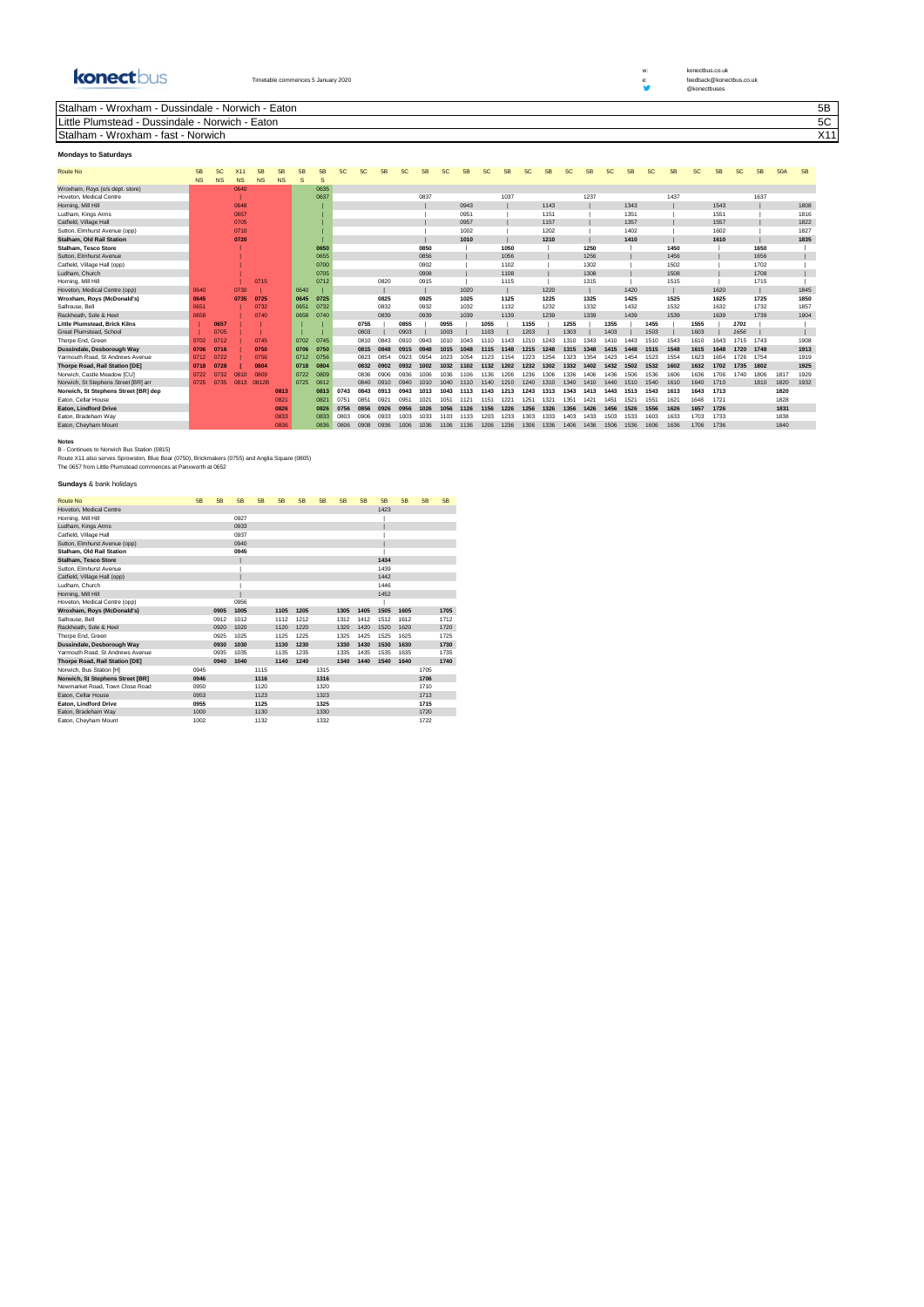konectbus

Timetable commences 5 January 2020 e: feedback and the control of the control of the control of the control of the control of the control of the control of the control of the control of the control of the control of the co

w: konectbus.co.uk<br>e: feedback@konectbus.co.uk

@konectbuses

Stalham - Wroxham - Dussindale - Norwich - Eaton 5B

Little Plumstead - Dussindale - Norwich - Eaton 5C

| Stalham<br>Wroxham<br>$t \cap \mathcal{C}$<br>Norwich<br>ιαδι | ، ۹<br>. |
|---------------------------------------------------------------|----------|
|                                                               |          |

## **Mondays to Saturdays**

| <b>Route No</b>                      | 5B        | 5C        |           | 5B        | 5B        | 5B           | 5B       | 5C   | 5C          | 5B   | 5C   | 5B   | 5C   | <b>5B</b> | 5C   | 5B   | 5C   | 5B   | 5C   | 5B   | 5C   | 5B   | 5C   | 5B   | 5C   | 5B   | 5C   | 5B   | <b>50A</b> | 5B   |
|--------------------------------------|-----------|-----------|-----------|-----------|-----------|--------------|----------|------|-------------|------|------|------|------|-----------|------|------|------|------|------|------|------|------|------|------|------|------|------|------|------------|------|
|                                      | <b>NS</b> | <b>NS</b> | <b>NS</b> | <b>NS</b> | <b>NS</b> | <sub>S</sub> | <b>S</b> |      |             |      |      |      |      |           |      |      |      |      |      |      |      |      |      |      |      |      |      |      |            |      |
| Wroxham, Roys (o/s dept. store)      |           |           | 0640      |           |           |              | 0635     |      |             |      |      |      |      |           |      |      |      |      |      |      |      |      |      |      |      |      |      |      |            |      |
| Hoveton, Medical Centre              |           |           |           |           |           |              | 0637     |      |             |      |      | 0837 |      |           |      | 1037 |      |      |      | 1237 |      |      |      | 1437 |      |      |      | 1637 |            |      |
| Horning, Mill Hill                   |           |           | 0648      |           |           |              |          |      |             |      |      |      |      | 0943      |      |      |      | 1143 |      |      |      | 1343 |      |      |      | 1543 |      |      |            | 1808 |
| Ludham, Kings Arms                   |           |           | 0657      |           |           |              |          |      |             |      |      |      |      | 0951      |      |      |      | 1151 |      |      |      | 1351 |      |      |      | 1551 |      |      |            | 1816 |
| Catfield, Village Hall               |           |           | 0705      |           |           |              |          |      |             |      |      |      |      | 0957      |      |      |      | 1157 |      |      |      | 1357 |      |      |      | 1557 |      |      |            | 1822 |
| Sutton, Elmhurst Avenue (opp)        |           |           | 0710      |           |           |              |          |      |             |      |      |      |      | 1002      |      |      |      | 1202 |      |      |      | 1402 |      |      |      | 1602 |      |      |            | 1827 |
| <b>Stalham, Old Rail Station</b>     |           |           | 0720      |           |           |              |          |      |             |      |      |      |      | 1010      |      |      |      | 1210 |      |      |      | 1410 |      |      |      | 1610 |      |      |            | 1835 |
| Stalham, Tesco Store                 |           |           |           |           |           |              | 0650     |      |             |      |      | 0850 |      |           |      | 1050 |      |      |      | 1250 |      |      |      | 1450 |      |      |      | 1650 |            |      |
| Sutton, Elmhurst Avenue              |           |           |           |           |           |              | 0655     |      |             |      |      | 0856 |      |           |      | 1056 |      |      |      | 1256 |      |      |      | 1456 |      |      |      | 1656 |            |      |
| Catfield, Village Hall (opp)         |           |           |           |           |           |              | 0700     |      |             |      |      | 0902 |      |           |      | 1102 |      |      |      | 1302 |      |      |      | 1502 |      |      |      | 1702 |            |      |
| Ludham, Church                       |           |           |           |           |           |              | 0705     |      |             |      |      | 0908 |      |           |      | 1108 |      |      |      | 1308 |      |      |      | 1508 |      |      |      | 1708 |            |      |
| Horning, Mill Hill                   |           |           |           | 0715      |           |              | 0712     |      |             | 0820 |      | 0915 |      |           |      | 1115 |      |      |      | 1315 |      |      |      | 1515 |      |      |      | 1715 |            |      |
| Hoveton, Medical Centre (opp)        | 0640      |           | 0730      |           |           | 0640         |          |      |             |      |      |      |      | 1020      |      |      |      | 1220 |      |      |      | 1420 |      |      |      | 1620 |      |      |            | 1845 |
| Wroxham, Roys (McDonald's)           | 0645      |           | 0735      | 0725      |           | 0645         | 0725     |      |             | 0825 |      | 0925 |      | 1025      |      | 1125 |      | 1225 |      | 1325 |      | 1425 |      | 1525 |      | 1625 |      | 1725 |            | 1850 |
| Salhouse, Bell                       | 0651      |           |           | 0732      |           | 0651         | 0732     |      |             | 0832 |      | 0932 |      | 1032      |      | 1132 |      | 1232 |      | 1332 |      | 1432 |      | 1532 |      | 1632 |      | 1732 |            | 1857 |
| Rackheath, Sole & Heel               | 0658      |           |           | 0740      |           | 0658         | 0740     |      |             | 0839 |      | 0939 |      | 1039      |      | 1139 |      | 1239 |      | 1339 |      | 1439 |      | 1539 |      | 1639 |      | 1739 |            | 1904 |
| Little Plumstead, Brick Kilns        |           | 0657      |           |           |           |              |          |      | 0755        |      | 0855 |      | 0955 |           | 1055 |      | 1155 |      | 1255 |      | 1355 |      | 1455 |      | 1555 |      | 1701 |      |            |      |
| <b>Great Plumstead, School</b>       |           | 0705      |           |           |           |              |          |      | 0803        |      | 0903 |      | 1003 |           | 1103 |      | 1203 |      | 1303 |      | 1403 |      | 1503 |      | 1603 |      | 1656 |      |            |      |
| Thorpe End, Green                    | 0702      | 0712      |           | 0745      |           | 0702         | 0745     |      | 0810        | 0843 | 0910 | 0943 |      | 043       |      | 1143 |      | 1243 | 1310 | 1343 | 1410 | 1443 | 1510 | 1543 | 1610 | 643  | 1715 | 1743 |            | 1908 |
| Dussindale, Desborough Way           | 0706      | 0716      |           | 0750      |           | 0706         | 0750     |      | 0815        | 0848 | 0915 | 0948 | 1015 | 1048      | 1115 | 1148 | 1215 | 1248 | 1315 | 1348 | 1415 | 1448 | 1515 | 1548 | 1615 | 1648 | 1720 | 1748 |            | 1913 |
| Yarmouth Road, St Andrews Avenue     | 0712      | 0722      |           | 0756      |           | 0712         | 0756     |      | 0823        | 0854 | 0923 | 0954 | 1023 | 054       | 1123 | 1154 | 1223 | 1254 | 1323 | 1354 | 1423 | 1454 | 1523 | 1554 | 1623 | 1654 | 1726 | 1754 |            | 1919 |
| Thorpe Road, Rail Station [DE]       | 0718      | 0728      |           | 0804      |           | 0718         | 0804     |      | 0832        | 0902 | 0932 | 1002 | 1032 |           | 1132 | 1202 | 1232 | 1302 | 1332 | 1402 | 1432 | 1502 | 1532 | 1602 | 1632 | 1702 | 1735 | 1802 |            | 1925 |
| Norwich, Castle Meadow [CU]          | 0722      | 0732      |           | 0809      |           | 0722         | 0809     |      | 0836        | 0906 | 0936 | 1006 | 036  |           | 1136 | 1206 | 1236 | 1306 | 1336 | 1406 | 1436 | 1506 | 1536 | 1606 | 1636 | 1706 | 1740 | 1806 | 1817       | 1929 |
| Norwich, St Stephens Street [BR] arr | 0725      | 0735      | 0813      | 0812B     |           | 0725         | 0812     |      | 0840        | 0910 | 0940 | 1010 | 1040 | 1110      | 1140 | 1210 | 1240 | 1310 | 1340 | 1410 | 1440 | 1510 | 1540 | 1610 | 1640 | 1710 |      | 1810 | 1820       | 1932 |
| Norwich, St Stephens Street [BR] dep |           |           |           |           | 0813      |              | 0813     | 0743 | 0843        | 0913 | 0943 | 1013 | 1043 | 1113      | 1143 | 1213 | 1243 | 1313 | 1343 | 1413 | 1443 | 1513 | 1543 | 1613 | 1643 | 1713 |      |      | 1820       |      |
| Eaton, Cellar House                  |           |           |           |           | 0821      |              | 0821     | 0751 | 0851        | 0921 | 0951 | 1021 | 1051 | 1121      | 1151 | 1221 | 1251 | 1321 | 1351 | 1421 | 1451 | 1521 | 1551 | 1621 | 1648 | 1721 |      |      | 1828       |      |
| Eaton, Lindford Drive                |           |           |           |           | 0826      |              | 0826     | 0756 | 0856        | 0926 | 0956 | 1026 | 1056 | 1126      | 1156 | 1226 | 1256 | 1326 | 1356 | 1426 | 1456 | 1526 | 1556 | 1626 | 1657 | 1726 |      |      | 1831       |      |
| Eaton, Bradeham Way                  |           |           |           |           | 0833      |              | 0833     | 0803 | <b>NO00</b> | 0933 | 1003 | 1033 |      | 133       |      | 1233 | 1303 | 1333 | 1403 | 1433 | 1503 | 1533 | 1603 | 1633 | 1703 | 1733 |      |      | 1838       |      |
| Eaton, Cheyham Mount                 |           |           |           |           | 0836      |              | 0836     | 0806 | 0908        | 0936 | 1006 | 1036 | 1106 | 1136      | 1206 | 1236 | 1306 | 1336 | 1406 | 1436 | 1506 | 1536 | 1606 | 1636 | 1706 | 1736 |      |      | 1840       |      |

**Rotes**<br>B - Continues to Norwich Bus Station (0815)<br>Route X11 also serves Sprowston, Blue Boar (0750), Brickmakers (0755) and Anglia Square (0805)<br>The 0657 from Little Plumstead commences at Panxworth at 0652

## **Sundays** & bank holidays

| <b>Route No</b>                  | 5B   | 5B   | 5B   | 5B   | 5B   | 5B   | 5B   | 5B   | 5B   | 5B   | 5B   | 5B   | 5B   |
|----------------------------------|------|------|------|------|------|------|------|------|------|------|------|------|------|
| <b>Hoveton, Medical Centre</b>   |      |      |      |      |      |      |      |      |      | 1423 |      |      |      |
| Horning, Mill Hill               |      |      | 0927 |      |      |      |      |      |      |      |      |      |      |
| Ludham, Kings Arms               |      |      | 0933 |      |      |      |      |      |      |      |      |      |      |
| Catfield, Village Hall           |      |      | 0937 |      |      |      |      |      |      |      |      |      |      |
| Sutton, Elmhurst Avenue (opp)    |      |      | 0940 |      |      |      |      |      |      |      |      |      |      |
| Stalham, Old Rail Station        |      |      | 0945 |      |      |      |      |      |      |      |      |      |      |
| <b>Stalham. Tesco Store</b>      |      |      |      |      |      |      |      |      |      | 1434 |      |      |      |
| Sutton, Elmhurst Avenue          |      |      |      |      |      |      |      |      |      | 1439 |      |      |      |
| Catfield, Village Hall (opp)     |      |      |      |      |      |      |      |      |      | 1442 |      |      |      |
| Ludham, Church                   |      |      |      |      |      |      |      |      |      | 1446 |      |      |      |
| Horning, Mill Hill               |      |      |      |      |      |      |      |      |      | 1452 |      |      |      |
| Hoveton, Medical Centre (opp)    |      |      | 0956 |      |      |      |      |      |      |      |      |      |      |
| Wroxham, Roys (McDonald's)       |      | 0905 | 1005 |      | 1105 | 1205 |      | 1305 | 1405 | 1505 | 1605 |      | 1705 |
| Salhouse, Bell                   |      | 0912 | 1012 |      | 1112 | 1212 |      | 1312 | 1412 | 1512 | 1612 |      | 1712 |
| Rackheath, Sole & Heel           |      | 0920 | 1020 |      | 1120 | 1220 |      | 1320 | 1420 | 1520 | 1620 |      | 1720 |
| Thorpe End, Green                |      | 0925 | 1025 |      | 1125 | 1225 |      | 1325 | 1425 | 1525 | 1625 |      | 1725 |
| Dussindale, Desborough Way       |      | 0930 | 1030 |      | 1130 | 1230 |      | 1330 | 1430 | 1530 | 1630 |      | 1730 |
| Yarmouth Road, St Andrews Avenue |      | 0935 | 1035 |      | 1135 | 1235 |      | 1335 | 1435 | 1535 | 1635 |      | 1735 |
| Thorpe Road, Rail Station [DE]   |      | 0940 | 1040 |      | 1140 | 1240 |      | 1340 | 1440 | 1540 | 1640 |      | 1740 |
| Norwich, Bus Station [H]         | 0945 |      |      | 1115 |      |      | 1315 |      |      |      |      | 1705 |      |
| Norwich, St Stephens Street [BR] | 0946 |      |      | 1116 |      |      | 1316 |      |      |      |      | 1706 |      |
| Newmarket Road, Town Close Road  | 0950 |      |      | 1120 |      |      | 1320 |      |      |      |      | 1710 |      |
| Eaton, Cellar House              | 0953 |      |      | 1123 |      |      | 1323 |      |      |      |      | 1713 |      |
| Eaton, Lindford Drive            | 0955 |      |      | 1125 |      |      | 1325 |      |      |      |      | 1715 |      |
| Eaton, Bradeham Way              | 1000 |      |      | 1130 |      |      | 1330 |      |      |      |      | 1720 |      |
| Eaton, Cheyham Mount             | 1002 |      |      | 1132 |      |      | 1332 |      |      |      |      | 1722 |      |